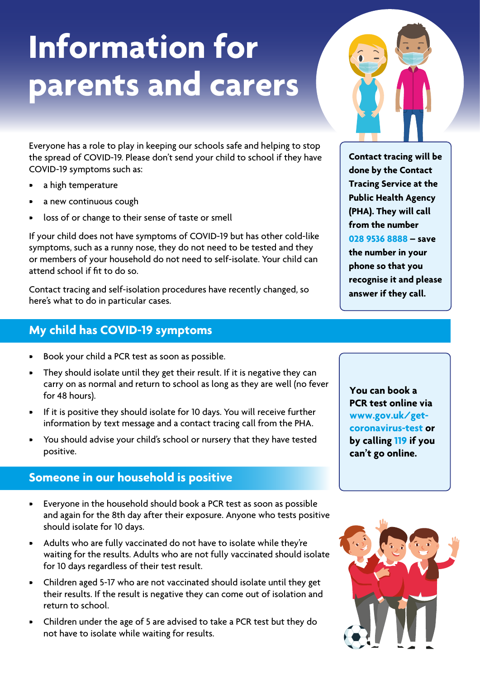# **Information for parents and carers**

Everyone has a role to play in keeping our schools safe and helping to stop the spread of COVID-19. Please don't send your child to school if they have COVID-19 symptoms such as:

- a high temperature
- a new continuous cough
- loss of or change to their sense of taste or smell

If your child does not have symptoms of COVID-19 but has other cold-like symptoms, such as a runny nose, they do not need to be tested and they or members of your household do not need to self-isolate. Your child can attend school if fit to do so.

Contact tracing and self-isolation procedures have recently changed, so here's what to do in particular cases.

### **My child has COVID-19 symptoms**

- Book your child a PCR test as soon as possible.
- They should isolate until they get their result. If it is negative they can carry on as normal and return to school as long as they are well (no fever for 48 hours).
- If it is positive they should isolate for 10 days. You will receive further information by text message and a contact tracing call from the PHA.
- You should advise your child's school or nursery that they have tested positive.

## **Someone in our household is positive**

- Everyone in the household should book a PCR test as soon as possible and again for the 8th day after their exposure. Anyone who tests positive should isolate for 10 days.
- Adults who are fully vaccinated do not have to isolate while they're waiting for the results. Adults who are not fully vaccinated should isolate for 10 days regardless of their test result.
- Children aged 5-17 who are not vaccinated should isolate until they get their results. If the result is negative they can come out of isolation and return to school.
- Children under the age of 5 are advised to take a PCR test but they do not have to isolate while waiting for results.

**You can book a PCR test online via www.gov.uk/getcoronavirus-test or by calling 119 if you** 

**can't go online.**



**028 9536 8888 – save the number in your phone so that you recognise it and please answer if they call.**